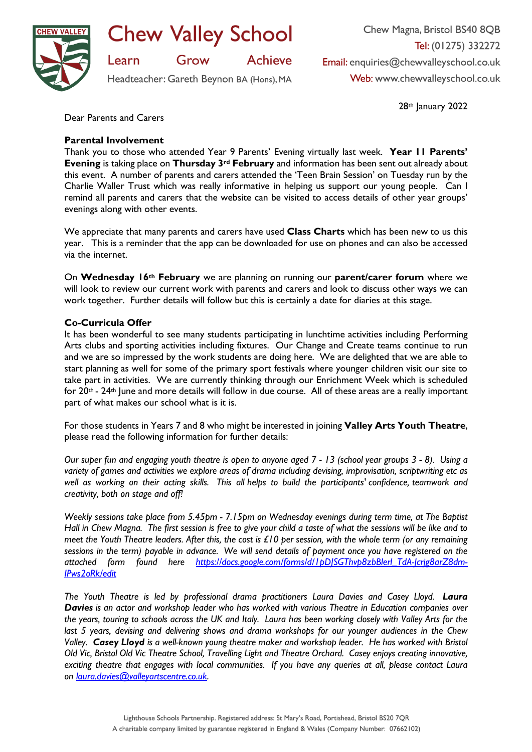

**Chew Valley School** 

Grow **Achieve** 

Headteacher: Gareth Beynon BA (Hons), MA

Chew Magna, Bristol BS40 8QB Tel: (01275) 332272 Email: enquiries@chewvalleyschool.co.uk Web: www.chewvalleyschool.co.uk

28th January 2022

Dear Parents and Carers

Learn

## **Parental Involvement**

Thank you to those who attended Year 9 Parents' Evening virtually last week. **Year 11 Parents' Evening** is taking place on **Thursday 3rd February** and information has been sent out already about this event. A number of parents and carers attended the 'Teen Brain Session' on Tuesday run by the Charlie Waller Trust which was really informative in helping us support our young people. Can I remind all parents and carers that the website can be visited to access details of other year groups' evenings along with other events.

We appreciate that many parents and carers have used **Class Charts** which has been new to us this year. This is a reminder that the app can be downloaded for use on phones and can also be accessed via the internet.

On **Wednesday 16th February** we are planning on running our **parent/carer forum** where we will look to review our current work with parents and carers and look to discuss other ways we can work together. Further details will follow but this is certainly a date for diaries at this stage.

## **Co-Curricula Offer**

It has been wonderful to see many students participating in lunchtime activities including Performing Arts clubs and sporting activities including fixtures. Our Change and Create teams continue to run and we are so impressed by the work students are doing here. We are delighted that we are able to start planning as well for some of the primary sport festivals where younger children visit our site to take part in activities. We are currently thinking through our Enrichment Week which is scheduled for 20th - 24th June and more details will follow in due course. All of these areas are a really important part of what makes our school what is it is.

For those students in Years 7 and 8 who might be interested in joining **Valley Arts Youth Theatre**, please read the following information for further details:

*Our super fun and engaging youth theatre is open to anyone aged 7 - 13 (school year groups 3 - 8). Using a variety of games and activities we explore areas of drama including devising, improvisation, scriptwriting etc as well as working on their acting skills. This all helps to build the participants' confidence, teamwork and creativity, both on stage and off!*

*Weekly sessions take place from 5.45pm - 7.15pm on Wednesday evenings during term time, at The Baptist Hall in Chew Magna. The first session is free to give your child a taste of what the sessions will be like and to meet the Youth Theatre leaders. After this, the cost is £10 per session, with the whole term (or any remaining sessions in the term) payable in advance. We will send details of payment once you have registered on the attached form found here [https://docs.google.com/forms/d/1pDJSGThvp8zbBlerl\\_TdA-Jcrjg8arZ8dm-](https://docs.google.com/forms/d/1pDJSGThvp8zbBlerl_TdA-Jcrjg8arZ8dm-IPws2oRk/edit)[IPws2oRk/edit](https://docs.google.com/forms/d/1pDJSGThvp8zbBlerl_TdA-Jcrjg8arZ8dm-IPws2oRk/edit)*

*The Youth Theatre is led by professional drama practitioners Laura Davies and Casey Lloyd. Laura Davies is an actor and workshop leader who has worked with various Theatre in Education companies over the years, touring to schools across the UK and Italy. Laura has been working closely with Valley Arts for the last 5 years, devising and delivering shows and drama workshops for our younger audiences in the Chew Valley. Casey Lloyd is a well-known young theatre maker and workshop leader. He has worked with Bristol Old Vic, Bristol Old Vic Theatre School, Travelling Light and Theatre Orchard. Casey enjoys creating innovative, exciting theatre that engages with local communities. If you have any queries at all, please contact Laura on [laura.davies@valleyartscentre.co.uk.](mailto:laura.davies@valleyartscentre.co.uk)*